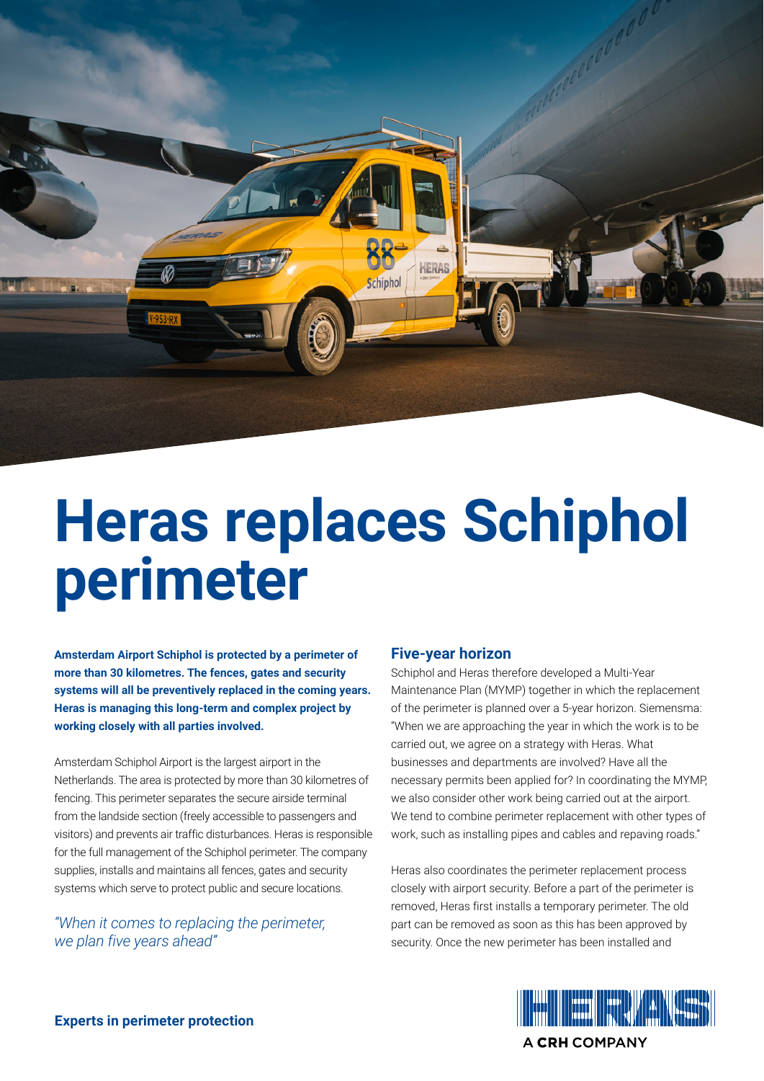

# **Heras replaces Schiphol perimeter**

**Amsterdam Airport Schiphol is protected by a perimeter of more than 30 kilometres. The fences, gates and security systems will all be preventively replaced in the coming years. Heras is managing this long-term and complex project by working closely with all parties involved.** 

Amsterdam Schiphol Airport is the largest airport in the Netherlands. The area is protected by more than 30 kilometres of fencing. This perimeter separates the secure airside terminal from the landside section (freely accessible to passengers and visitors) and prevents air traffic disturbances. Heras is responsible for the full management of the Schiphol perimeter. The company supplies, installs and maintains all fences, gates and security systems which serve to protect public and secure locations.

*"When it comes to replacing the perimeter, we plan five years ahead"*

### **Five-year horizon**

Schiphol and Heras therefore developed a Multi-Year Maintenance Plan (MYMP) together in which the replacement of the perimeter is planned over a 5-year horizon. Siemensma: "When we are approaching the year in which the work is to be carried out, we agree on a strategy with Heras. What businesses and departments are involved? Have all the necessary permits been applied for? In coordinating the MYMP, we also consider other work being carried out at the airport. We tend to combine perimeter replacement with other types of work, such as installing pipes and cables and repaving roads."

Heras also coordinates the perimeter replacement process closely with airport security. Before a part of the perimeter is removed, Heras first installs a temporary perimeter. The old part can be removed as soon as this has been approved by security. Once the new perimeter has been installed and



**Experts in perimeter protection**